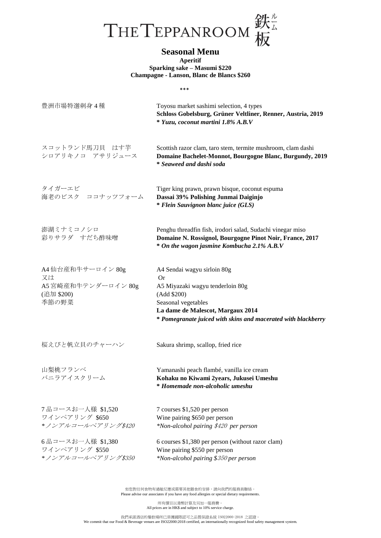

**Aperitif Sparking sake – Masumi \$220 Champagne - Lanson, Blanc de Blancs \$260**

|--|

| 豊洲市場特選刺身4種                                                            | Toyosu market sashimi selection, 4 types<br>Schloss Gobelsburg, Grüner Veltliner, Renner, Austria, 2019<br>* Yuzu, coconut martini 1.8% A.B.V                                                                            |
|-----------------------------------------------------------------------|--------------------------------------------------------------------------------------------------------------------------------------------------------------------------------------------------------------------------|
| スコットランド馬刀貝 はす芋<br>シロアリキノコ アサリジュース                                     | Scottish razor clam, taro stem, termite mushroom, clam dashi<br>Domaine Bachelet-Monnot, Bourgogne Blanc, Burgundy, 2019<br>* Seaweed and dashi soda                                                                     |
| タイガーエビ<br>海老のビスク ココナッツフォーム                                            | Tiger king prawn, prawn bisque, coconut espuma<br>Dassai 39% Polishing Junmai Daiginjo<br><i>* Flein Sauvignon blanc juice (GLS)</i>                                                                                     |
| 澎湖ミナミコノシロ<br>彩りサラダ すだち酢味噌                                             | Penghu threadfin fish, irodori salad, Sudachi vinegar miso<br>Domaine N. Rossignol, Bourgogne Pinot Noir, France, 2017<br>* On the wagon jasmine Kombucha 2.1% A.B.V                                                     |
| A4 仙台産和牛サーロイン 80g<br>又は<br>A5 宮崎産和牛テンダーロイン 80g<br>(追加 \$200)<br>季節の野菜 | A4 Sendai wagyu sirloin 80g<br><b>Or</b><br>A5 Miyazaki wagyu tenderloin 80g<br>(Add \$200)<br>Seasonal vegetables<br>La dame de Malescot, Margaux 2014<br>* Pomegranate juiced with skins and macerated with blackberry |
| 桜えびと帆立貝のチャーハン                                                         | Sakura shrimp, scallop, fried rice                                                                                                                                                                                       |
| 山梨桃フランベ<br>バニラアイスクリーム                                                 | Yamanashi peach flambé, vanilla ice cream<br>Kohaku no Kiwami 2years, Jukusei Umeshu<br>* Homemade non-alcoholic umeshu                                                                                                  |
| 7品コースお一人様 \$1.520<br>ワインペアリング \$650<br>*ノンアルコールペアリング\$420             | 7 courses \$1,520 per person<br>Wine pairing \$650 per person<br>*Non-alcohol pairing \$420 per person                                                                                                                   |
| 6品コースお一人様 \$1,380<br>ワインペアリング \$550<br>*ノンアルコールペアリング\$350             | 6 courses \$1,380 per person (without razor clam)<br>Wine pairing \$550 per person<br>*Non-alcohol pairing \$350 per person                                                                                              |

如您對任何食物有過敏反應或需要其他膳食的安排,請向我們的服務員聯絡。 Please advise our associates if you have any food allergies or special dietary requirements.

所有價目以港幣計算及另加一服務費。 All prices are in HK\$ and subject to 10% service charge.